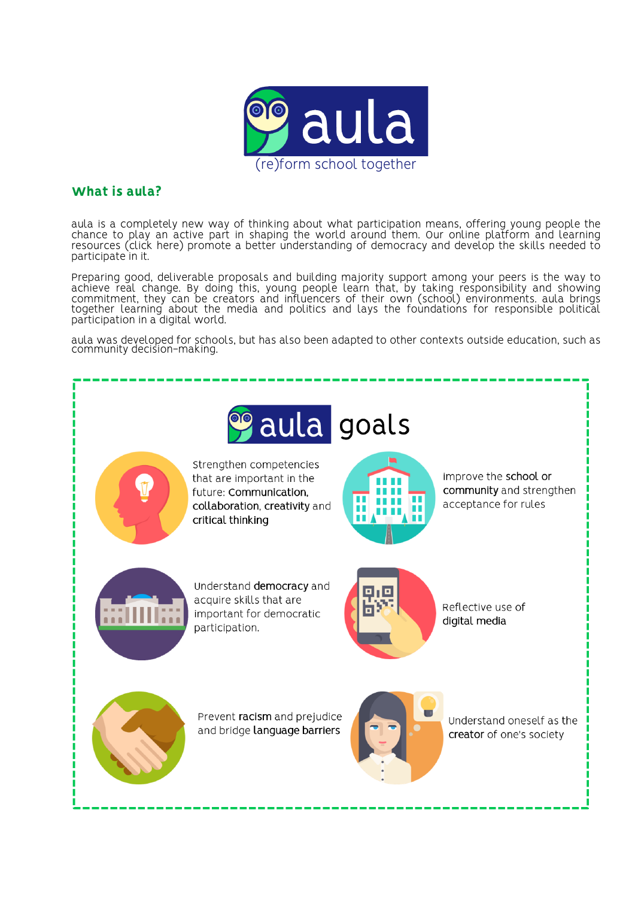

# What is aula?

aula is a completely new way of thinking about what participation means, offering young people the chance to play an active part in shaping the world around them. Our online platform and learning resources (click here) promote a better understanding of democracy and develop the skills needed to participate in it.

Preparing good, deliverable proposals and building majority support among your peers is the way to achieve real change. By doing this, young people learn that, by taking responsibility and showing<br>commitment, they can be creators and influencers of their own (school) environments. aula brings together learning about the media and politics and lays the foundations for responsible political participation in a digital world.

aula was developed for schools, but has also been adapted to other contexts outside education, such as community decision-making.